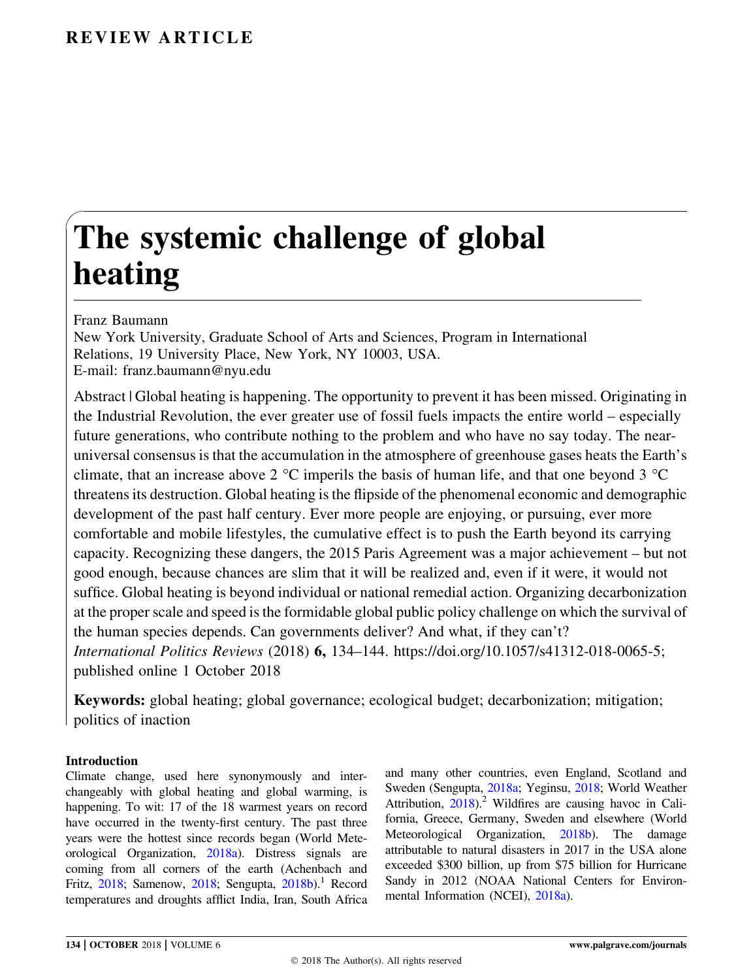# The systemic challenge of global heating

Franz Baumann

New York University, Graduate School of Arts and Sciences, Program in International Relations, 19 University Place, New York, NY 10003, USA. E-mail: franz.baumann@nyu.edu

Abstract | Global heating is happening. The opportunity to prevent it has been missed. Originating in the Industrial Revolution, the ever greater use of fossil fuels impacts the entire world – especially future generations, who contribute nothing to the problem and who have no say today. The nearuniversal consensus is that the accumulation in the atmosphere of greenhouse gases heats the Earth's climate, that an increase above 2  $\degree$ C imperils the basis of human life, and that one beyond 3  $\degree$ C threatens its destruction. Global heating is the flipside of the phenomenal economic and demographic development of the past half century. Ever more people are enjoying, or pursuing, ever more comfortable and mobile lifestyles, the cumulative effect is to push the Earth beyond its carrying capacity. Recognizing these dangers, the 2015 Paris Agreement was a major achievement – but not good enough, because chances are slim that it will be realized and, even if it were, it would not suffice. Global heating is beyond individual or national remedial action. Organizing decarbonization at the proper scale and speed is the formidable global public policy challenge on which the survival of the human species depends. Can governments deliver? And what, if they can't? International Politics Reviews (2018) 6, 134–144. https://doi.org/10.1057/s41312-018-0065-5; published online 1 October 2018

Keywords: global heating; global governance; ecological budget; decarbonization; mitigation; politics of inaction

## Introduction

Climate change, used here synonymously and interchangeably with global heating and global warming, is happening. To wit: 17 of the 18 warmest years on record have occurred in the twenty-first century. The past three years were the hottest since records began (World Meteorological Organization, [2018a](#page-10-0)). Distress signals are coming from all corners of the earth (Achenbach and Fritz,  $2018$ ; Samenow,  $2018$ ; Sengupta,  $2018b$ .<sup>1</sup> Record temperatures and droughts afflict India, Iran, South Africa

and many other countries, even England, Scotland and Sweden (Sengupta, [2018a;](#page-9-0) Yeginsu, [2018](#page-10-0); World Weather Attribution,  $2018$ <sup>2</sup>. Wildfires are causing havoc in California, Greece, Germany, Sweden and elsewhere (World Meteorological Organization, [2018b\)](#page-10-0). The damage attributable to natural disasters in 2017 in the USA alone exceeded \$300 billion, up from \$75 billion for Hurricane Sandy in 2012 (NOAA National Centers for Environmental Information (NCEI), [2018a\)](#page-9-0).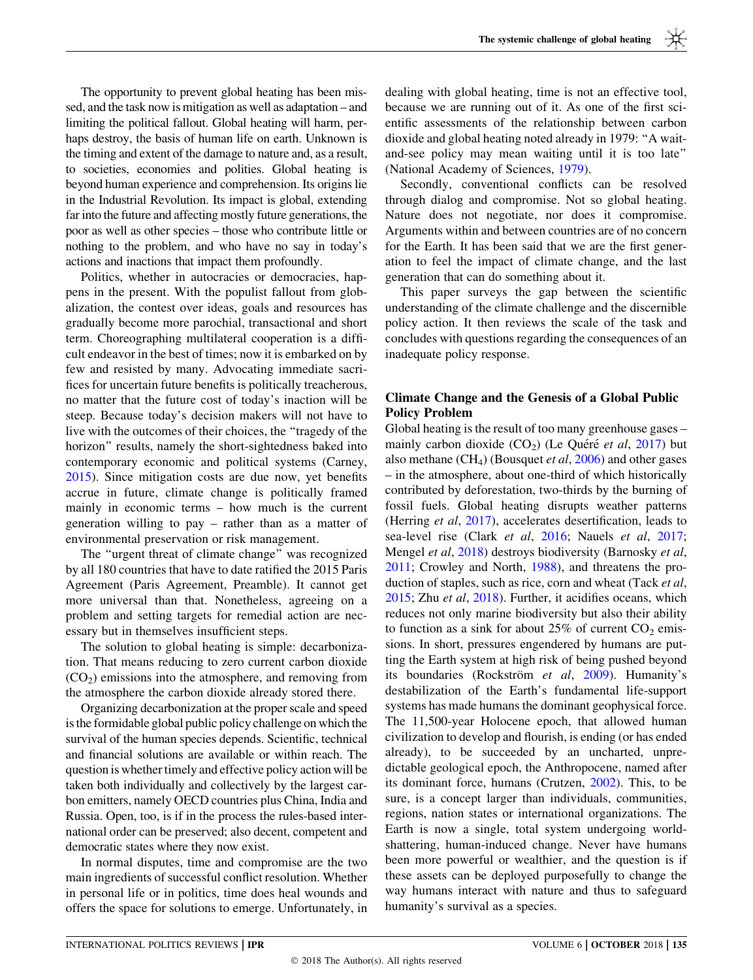The opportunity to prevent global heating has been missed, and the task now is mitigation as well as adaptation – and limiting the political fallout. Global heating will harm, perhaps destroy, the basis of human life on earth. Unknown is the timing and extent of the damage to nature and, as a result, to societies, economies and polities. Global heating is beyond human experience and comprehension. Its origins lie in the Industrial Revolution. Its impact is global, extending far into the future and affecting mostly future generations, the poor as well as other species – those who contribute little or nothing to the problem, and who have no say in today's actions and inactions that impact them profoundly.

Politics, whether in autocracies or democracies, happens in the present. With the populist fallout from globalization, the contest over ideas, goals and resources has gradually become more parochial, transactional and short term. Choreographing multilateral cooperation is a difficult endeavor in the best of times; now it is embarked on by few and resisted by many. Advocating immediate sacrifices for uncertain future benefits is politically treacherous, no matter that the future cost of today's inaction will be steep. Because today's decision makers will not have to live with the outcomes of their choices, the ''tragedy of the horizon" results, namely the short-sightedness baked into contemporary economic and political systems (Carney, [2015](#page-8-0)). Since mitigation costs are due now, yet benefits accrue in future, climate change is politically framed mainly in economic terms – how much is the current generation willing to pay – rather than as a matter of environmental preservation or risk management.

The "urgent threat of climate change" was recognized by all 180 countries that have to date ratified the 2015 Paris Agreement (Paris Agreement, Preamble). It cannot get more universal than that. Nonetheless, agreeing on a problem and setting targets for remedial action are necessary but in themselves insufficient steps.

The solution to global heating is simple: decarbonization. That means reducing to zero current carbon dioxide  $(CO<sub>2</sub>)$  emissions into the atmosphere, and removing from the atmosphere the carbon dioxide already stored there.

Organizing decarbonization at the proper scale and speed is the formidable global public policy challenge on which the survival of the human species depends. Scientific, technical and financial solutions are available or within reach. The question is whether timely and effective policy action will be taken both individually and collectively by the largest carbon emitters, namely OECD countries plus China, India and Russia. Open, too, is if in the process the rules-based international order can be preserved; also decent, competent and democratic states where they now exist.

In normal disputes, time and compromise are the two main ingredients of successful conflict resolution. Whether in personal life or in politics, time does heal wounds and offers the space for solutions to emerge. Unfortunately, in dealing with global heating, time is not an effective tool, because we are running out of it. As one of the first scientific assessments of the relationship between carbon dioxide and global heating noted already in 1979: ''A waitand-see policy may mean waiting until it is too late'' (National Academy of Sciences, [1979\)](#page-8-0).

Secondly, conventional conflicts can be resolved through dialog and compromise. Not so global heating. Nature does not negotiate, nor does it compromise. Arguments within and between countries are of no concern for the Earth. It has been said that we are the first generation to feel the impact of climate change, and the last generation that can do something about it.

This paper surveys the gap between the scientific understanding of the climate challenge and the discernible policy action. It then reviews the scale of the task and concludes with questions regarding the consequences of an inadequate policy response.

### Climate Change and the Genesis of a Global Public Policy Problem

Global heating is the result of too many greenhouse gases – mainly carbon dioxide  $(CO<sub>2</sub>)$  (Le Quéré *et al*, [2017\)](#page-8-0) but also methane  $(CH<sub>4</sub>)$  (Bousquet *et al*, [2006\)](#page-8-0) and other gases – in the atmosphere, about one-third of which historically contributed by deforestation, two-thirds by the burning of fossil fuels. Global heating disrupts weather patterns (Herring et al, [2017\)](#page-8-0), accelerates desertification, leads to sea-level rise (Clark et al, [2016;](#page-8-0) Nauels et al, [2017](#page-9-0); Mengel et al, [2018](#page-8-0)) destroys biodiversity (Barnosky et al, [2011;](#page-8-0) Crowley and North, [1988](#page-8-0)), and threatens the production of staples, such as rice, corn and wheat (Tack et al, [2015;](#page-9-0) Zhu et al, [2018](#page-10-0)). Further, it acidifies oceans, which reduces not only marine biodiversity but also their ability to function as a sink for about  $25\%$  of current  $CO<sub>2</sub>$  emissions. In short, pressures engendered by humans are putting the Earth system at high risk of being pushed beyond its boundaries (Rockström et al, [2009\)](#page-9-0). Humanity's destabilization of the Earth's fundamental life-support systems has made humans the dominant geophysical force. The 11,500-year Holocene epoch, that allowed human civilization to develop and flourish, is ending (or has ended already), to be succeeded by an uncharted, unpredictable geological epoch, the Anthropocene, named after its dominant force, humans (Crutzen, [2002](#page-8-0)). This, to be sure, is a concept larger than individuals, communities, regions, nation states or international organizations. The Earth is now a single, total system undergoing worldshattering, human-induced change. Never have humans been more powerful or wealthier, and the question is if these assets can be deployed purposefully to change the way humans interact with nature and thus to safeguard humanity's survival as a species.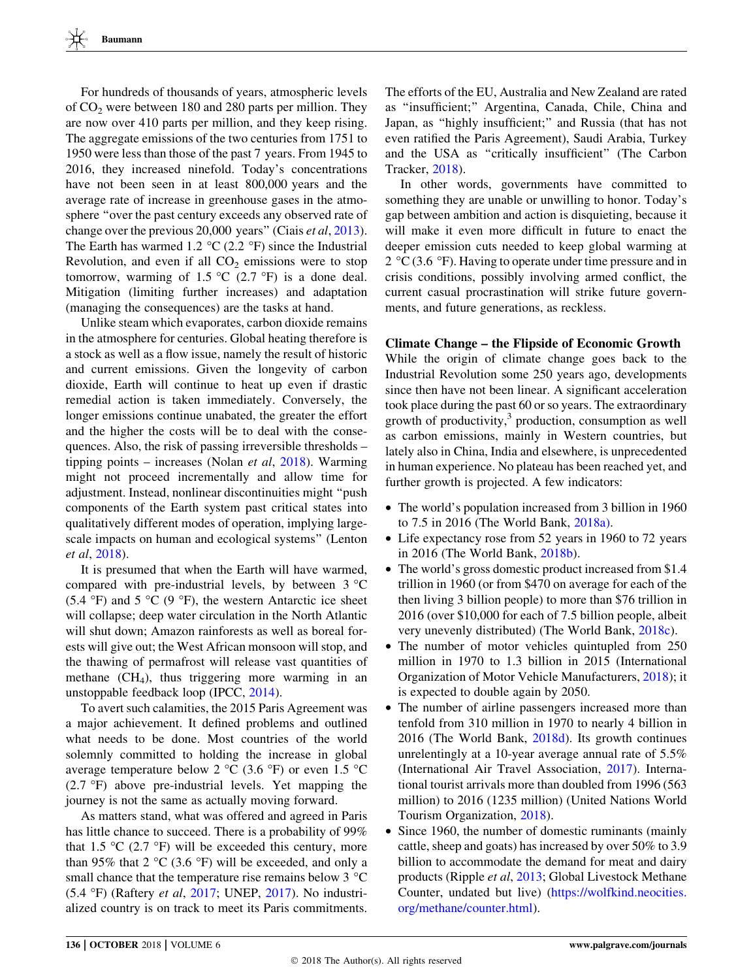For hundreds of thousands of years, atmospheric levels of  $CO<sub>2</sub>$  were between 180 and 280 parts per million. They are now over 410 parts per million, and they keep rising. The aggregate emissions of the two centuries from 1751 to 1950 were less than those of the past 7 years. From 1945 to 2016, they increased ninefold. Today's concentrations have not been seen in at least 800,000 years and the average rate of increase in greenhouse gases in the atmosphere ''over the past century exceeds any observed rate of change over the previous 20,000 years'' (Ciais et al, [2013](#page-8-0)). The Earth has warmed  $1.2 \text{ }^{\circ}C$  (2.2  $\text{ }^{\circ}F$ ) since the Industrial Revolution, and even if all  $CO<sub>2</sub>$  emissions were to stop tomorrow, warming of 1.5 °C (2.7 °F) is a done deal. Mitigation (limiting further increases) and adaptation (managing the consequences) are the tasks at hand.

Unlike steam which evaporates, carbon dioxide remains in the atmosphere for centuries. Global heating therefore is a stock as well as a flow issue, namely the result of historic and current emissions. Given the longevity of carbon dioxide, Earth will continue to heat up even if drastic remedial action is taken immediately. Conversely, the longer emissions continue unabated, the greater the effort and the higher the costs will be to deal with the consequences. Also, the risk of passing irreversible thresholds – tipping points – increases (Nolan *et al*, [2018\)](#page-9-0). Warming might not proceed incrementally and allow time for adjustment. Instead, nonlinear discontinuities might ''push components of the Earth system past critical states into qualitatively different modes of operation, implying largescale impacts on human and ecological systems'' (Lenton et al, [2018\)](#page-8-0).

It is presumed that when the Earth will have warmed, compared with pre-industrial levels, by between  $3^{\circ}$ C  $(5.4 \text{ °F})$  and  $5 \text{ °C}$  (9  $\text{ °F}$ ), the western Antarctic ice sheet will collapse; deep water circulation in the North Atlantic will shut down; Amazon rainforests as well as boreal forests will give out; the West African monsoon will stop, and the thawing of permafrost will release vast quantities of methane  $(CH<sub>4</sub>)$ , thus triggering more warming in an unstoppable feedback loop (IPCC, [2014\)](#page-8-0).

To avert such calamities, the 2015 Paris Agreement was a major achievement. It defined problems and outlined what needs to be done. Most countries of the world solemnly committed to holding the increase in global average temperature below 2  $^{\circ}$ C (3.6  $^{\circ}$ F) or even 1.5  $^{\circ}$ C  $(2.7 \text{ °F})$  above pre-industrial levels. Yet mapping the journey is not the same as actually moving forward.

As matters stand, what was offered and agreed in Paris has little chance to succeed. There is a probability of 99% that 1.5  $\rm{^{\circ}C}$  (2.7  $\rm{^{\circ}F}$ ) will be exceeded this century, more than 95% that 2  $\rm{°C}$  (3.6  $\rm{°F}$ ) will be exceeded, and only a small chance that the temperature rise remains below  $3^{\circ}$ C  $(5.4 \text{ °F})$  (Raftery *et al*, [2017;](#page-9-0) UNEP, [2017](#page-9-0)). No industrialized country is on track to meet its Paris commitments.

The efforts of the EU, Australia and New Zealand are rated as ''insufficient;'' Argentina, Canada, Chile, China and Japan, as ''highly insufficient;'' and Russia (that has not even ratified the Paris Agreement), Saudi Arabia, Turkey and the USA as ''critically insufficient'' (The Carbon Tracker, [2018](#page-9-0)).

In other words, governments have committed to something they are unable or unwilling to honor. Today's gap between ambition and action is disquieting, because it will make it even more difficult in future to enact the deeper emission cuts needed to keep global warming at  $2 \text{ }^{\circ}C(3.6 \text{ }^{\circ}F)$ . Having to operate under time pressure and in crisis conditions, possibly involving armed conflict, the current casual procrastination will strike future governments, and future generations, as reckless.

#### Climate Change – the Flipside of Economic Growth

While the origin of climate change goes back to the Industrial Revolution some 250 years ago, developments since then have not been linear. A significant acceleration took place during the past 60 or so years. The extraordinary growth of productivity, $3$  production, consumption as well as carbon emissions, mainly in Western countries, but lately also in China, India and elsewhere, is unprecedented in human experience. No plateau has been reached yet, and further growth is projected. A few indicators:

- The world's population increased from 3 billion in 1960 to 7.5 in 2016 (The World Bank, [2018a\)](#page-9-0).
- Life expectancy rose from 52 years in 1960 to 72 years in 2016 (The World Bank, [2018b\)](#page-9-0).
- The world's gross domestic product increased from \$1.4 trillion in 1960 (or from \$470 on average for each of the then living 3 billion people) to more than \$76 trillion in 2016 (over \$10,000 for each of 7.5 billion people, albeit very unevenly distributed) (The World Bank, [2018c](#page-9-0)).
- The number of motor vehicles quintupled from 250 million in 1970 to 1.3 billion in 2015 (International Organization of Motor Vehicle Manufacturers, [2018](#page-8-0)); it is expected to double again by 2050.
- The number of airline passengers increased more than tenfold from 310 million in 1970 to nearly 4 billion in 2016 (The World Bank, [2018d](#page-9-0)). Its growth continues unrelentingly at a 10-year average annual rate of 5.5% (International Air Travel Association, [2017](#page-8-0)). International tourist arrivals more than doubled from 1996 (563 million) to 2016 (1235 million) (United Nations World Tourism Organization, [2018\)](#page-9-0).
- Since 1960, the number of domestic ruminants (mainly cattle, sheep and goats) has increased by over 50% to 3.9 billion to accommodate the demand for meat and dairy products (Ripple et al, [2013](#page-9-0); Global Livestock Methane Counter, undated but live) [\(https://wolfkind.neocities.](https://wolfkind.neocities.org/methane/counter.html) [org/methane/counter.html](https://wolfkind.neocities.org/methane/counter.html)).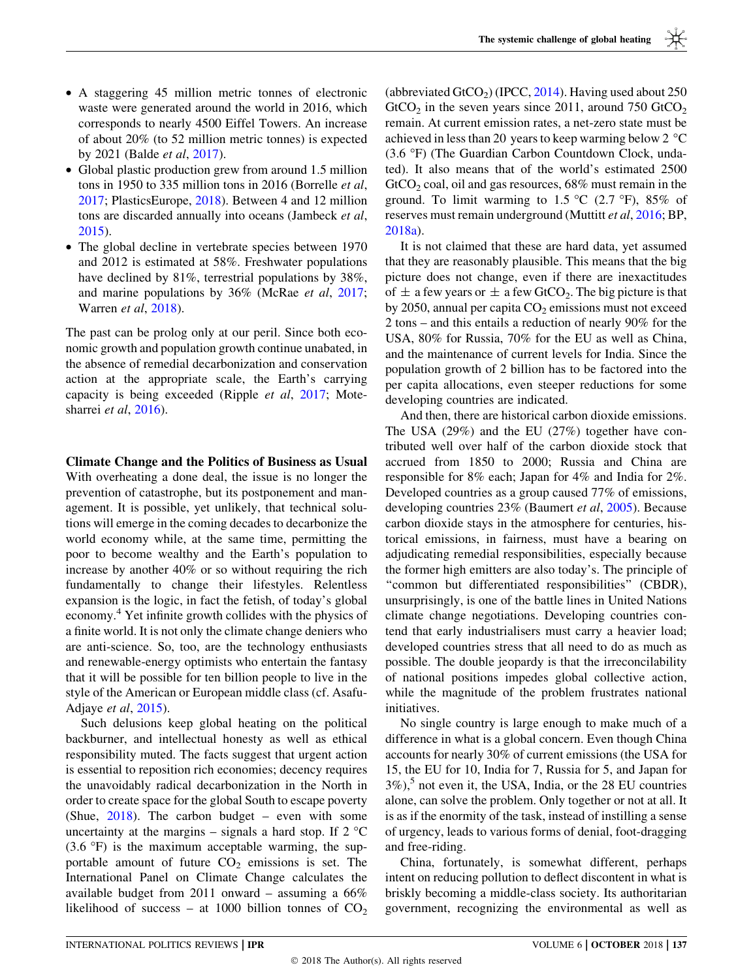- A staggering 45 million metric tonnes of electronic waste were generated around the world in 2016, which corresponds to nearly 4500 Eiffel Towers. An increase of about 20% (to 52 million metric tonnes) is expected by 2021 (Balde et al, [2017\)](#page-8-0).
- Global plastic production grew from around 1.5 million tons in 1950 to 335 million tons in 2016 (Borrelle et al, [2017](#page-8-0); PlasticsEurope, [2018](#page-9-0)). Between 4 and 12 million tons are discarded annually into oceans (Jambeck et al, [2015](#page-8-0)).
- The global decline in vertebrate species between 1970 and 2012 is estimated at 58%. Freshwater populations have declined by 81%, terrestrial populations by 38%, and marine populations by 36% (McRae et al, [2017;](#page-8-0) Warren et al, [2018](#page-9-0)).

The past can be prolog only at our peril. Since both economic growth and population growth continue unabated, in the absence of remedial decarbonization and conservation action at the appropriate scale, the Earth's carrying capacity is being exceeded (Ripple et al, [2017;](#page-9-0) Mote-sharrei et al, [2016](#page-8-0)).

#### Climate Change and the Politics of Business as Usual

With overheating a done deal, the issue is no longer the prevention of catastrophe, but its postponement and management. It is possible, yet unlikely, that technical solutions will emerge in the coming decades to decarbonize the world economy while, at the same time, permitting the poor to become wealthy and the Earth's population to increase by another 40% or so without requiring the rich fundamentally to change their lifestyles. Relentless expansion is the logic, in fact the fetish, of today's global economy.4 Yet infinite growth collides with the physics of a finite world. It is not only the climate change deniers who are anti-science. So, too, are the technology enthusiasts and renewable-energy optimists who entertain the fantasy that it will be possible for ten billion people to live in the style of the American or European middle class (cf. Asafu-Adjaye et al, [2015\)](#page-8-0).

Such delusions keep global heating on the political backburner, and intellectual honesty as well as ethical responsibility muted. The facts suggest that urgent action is essential to reposition rich economies; decency requires the unavoidably radical decarbonization in the North in order to create space for the global South to escape poverty (Shue, [2018\)](#page-9-0). The carbon budget – even with some uncertainty at the margins – signals a hard stop. If  $2^{\circ}C$  $(3.6 \text{ °F})$  is the maximum acceptable warming, the supportable amount of future  $CO<sub>2</sub>$  emissions is set. The International Panel on Climate Change calculates the available budget from 2011 onward – assuming a 66% likelihood of success – at 1000 billion tonnes of  $CO<sub>2</sub>$  (abbreviated  $GtCO<sub>2</sub>$ ) (IPCC, [2014](#page-8-0)). Having used about 250 GtCO<sub>2</sub> in the seven years since 2011, around 750 GtCO<sub>2</sub> remain. At current emission rates, a net-zero state must be achieved in less than 20 years to keep warming below 2  $^{\circ}\textrm{C}$ (3.6 -F) (The Guardian Carbon Countdown Clock, undated). It also means that of the world's estimated 2500  $GtCO<sub>2</sub>$  coal, oil and gas resources, 68% must remain in the ground. To limit warming to  $1.5 \text{ °C}$  (2.7  $\text{ °F}$ ),  $85\%$  of reserves must remain underground (Muttitt et al, [2016](#page-8-0); BP, [2018a\)](#page-8-0).

It is not claimed that these are hard data, yet assumed that they are reasonably plausible. This means that the big picture does not change, even if there are inexactitudes of  $\pm$  a few years or  $\pm$  a few GtCO<sub>2</sub>. The big picture is that by 2050, annual per capita  $CO<sub>2</sub>$  emissions must not exceed 2 tons – and this entails a reduction of nearly 90% for the USA, 80% for Russia, 70% for the EU as well as China, and the maintenance of current levels for India. Since the population growth of 2 billion has to be factored into the per capita allocations, even steeper reductions for some developing countries are indicated.

And then, there are historical carbon dioxide emissions. The USA (29%) and the EU (27%) together have contributed well over half of the carbon dioxide stock that accrued from 1850 to 2000; Russia and China are responsible for 8% each; Japan for 4% and India for 2%. Developed countries as a group caused 77% of emissions, developing countries 23% (Baumert et al, [2005](#page-8-0)). Because carbon dioxide stays in the atmosphere for centuries, historical emissions, in fairness, must have a bearing on adjudicating remedial responsibilities, especially because the former high emitters are also today's. The principle of "common but differentiated responsibilities" (CBDR), unsurprisingly, is one of the battle lines in United Nations climate change negotiations. Developing countries contend that early industrialisers must carry a heavier load; developed countries stress that all need to do as much as possible. The double jeopardy is that the irreconcilability of national positions impedes global collective action, while the magnitude of the problem frustrates national initiatives.

No single country is large enough to make much of a difference in what is a global concern. Even though China accounts for nearly 30% of current emissions (the USA for 15, the EU for 10, India for 7, Russia for 5, and Japan for  $3\%$ ),<sup>5</sup> not even it, the USA, India, or the 28 EU countries alone, can solve the problem. Only together or not at all. It is as if the enormity of the task, instead of instilling a sense of urgency, leads to various forms of denial, foot-dragging and free-riding.

China, fortunately, is somewhat different, perhaps intent on reducing pollution to deflect discontent in what is briskly becoming a middle-class society. Its authoritarian government, recognizing the environmental as well as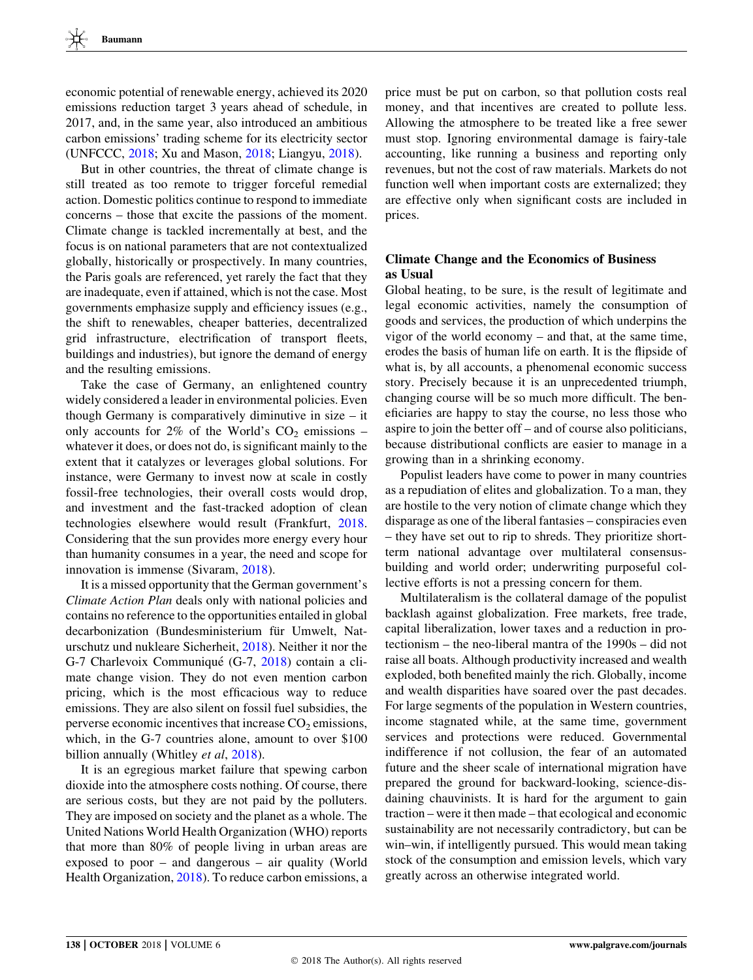economic potential of renewable energy, achieved its 2020 emissions reduction target 3 years ahead of schedule, in 2017, and, in the same year, also introduced an ambitious carbon emissions' trading scheme for its electricity sector (UNFCCC, [2018;](#page-9-0) Xu and Mason, [2018](#page-10-0); Liangyu, [2018](#page-8-0)).

But in other countries, the threat of climate change is still treated as too remote to trigger forceful remedial action. Domestic politics continue to respond to immediate concerns – those that excite the passions of the moment. Climate change is tackled incrementally at best, and the focus is on national parameters that are not contextualized globally, historically or prospectively. In many countries, the Paris goals are referenced, yet rarely the fact that they are inadequate, even if attained, which is not the case. Most governments emphasize supply and efficiency issues (e.g., the shift to renewables, cheaper batteries, decentralized grid infrastructure, electrification of transport fleets, buildings and industries), but ignore the demand of energy and the resulting emissions.

Take the case of Germany, an enlightened country widely considered a leader in environmental policies. Even though Germany is comparatively diminutive in size – it only accounts for  $2\%$  of the World's  $CO<sub>2</sub>$  emissions – whatever it does, or does not do, is significant mainly to the extent that it catalyzes or leverages global solutions. For instance, were Germany to invest now at scale in costly fossil-free technologies, their overall costs would drop, and investment and the fast-tracked adoption of clean technologies elsewhere would result (Frankfurt, [2018](#page-8-0). Considering that the sun provides more energy every hour than humanity consumes in a year, the need and scope for innovation is immense (Sivaram, [2018\)](#page-9-0).

It is a missed opportunity that the German government's Climate Action Plan deals only with national policies and contains no reference to the opportunities entailed in global decarbonization (Bundesministerium für Umwelt, Naturschutz und nukleare Sicherheit, [2018\)](#page-8-0). Neither it nor the G-7 Charlevoix Communiqué (G-7, [2018](#page-8-0)) contain a climate change vision. They do not even mention carbon pricing, which is the most efficacious way to reduce emissions. They are also silent on fossil fuel subsidies, the perverse economic incentives that increase  $CO<sub>2</sub>$  emissions, which, in the G-7 countries alone, amount to over \$100 billion annually (Whitley *et al*, [2018](#page-9-0)).

It is an egregious market failure that spewing carbon dioxide into the atmosphere costs nothing. Of course, there are serious costs, but they are not paid by the polluters. They are imposed on society and the planet as a whole. The United Nations World Health Organization (WHO) reports that more than 80% of people living in urban areas are exposed to poor – and dangerous – air quality (World Health Organization, [2018](#page-9-0)). To reduce carbon emissions, a

price must be put on carbon, so that pollution costs real money, and that incentives are created to pollute less. Allowing the atmosphere to be treated like a free sewer must stop. Ignoring environmental damage is fairy-tale accounting, like running a business and reporting only revenues, but not the cost of raw materials. Markets do not function well when important costs are externalized; they are effective only when significant costs are included in prices.

#### Climate Change and the Economics of Business as Usual

Global heating, to be sure, is the result of legitimate and legal economic activities, namely the consumption of goods and services, the production of which underpins the vigor of the world economy – and that, at the same time, erodes the basis of human life on earth. It is the flipside of what is, by all accounts, a phenomenal economic success story. Precisely because it is an unprecedented triumph, changing course will be so much more difficult. The beneficiaries are happy to stay the course, no less those who aspire to join the better off – and of course also politicians, because distributional conflicts are easier to manage in a growing than in a shrinking economy.

Populist leaders have come to power in many countries as a repudiation of elites and globalization. To a man, they are hostile to the very notion of climate change which they disparage as one of the liberal fantasies – conspiracies even – they have set out to rip to shreds. They prioritize shortterm national advantage over multilateral consensusbuilding and world order; underwriting purposeful collective efforts is not a pressing concern for them.

Multilateralism is the collateral damage of the populist backlash against globalization. Free markets, free trade, capital liberalization, lower taxes and a reduction in protectionism – the neo-liberal mantra of the 1990s – did not raise all boats. Although productivity increased and wealth exploded, both benefited mainly the rich. Globally, income and wealth disparities have soared over the past decades. For large segments of the population in Western countries, income stagnated while, at the same time, government services and protections were reduced. Governmental indifference if not collusion, the fear of an automated future and the sheer scale of international migration have prepared the ground for backward-looking, science-disdaining chauvinists. It is hard for the argument to gain traction – were it then made – that ecological and economic sustainability are not necessarily contradictory, but can be win–win, if intelligently pursued. This would mean taking stock of the consumption and emission levels, which vary greatly across an otherwise integrated world.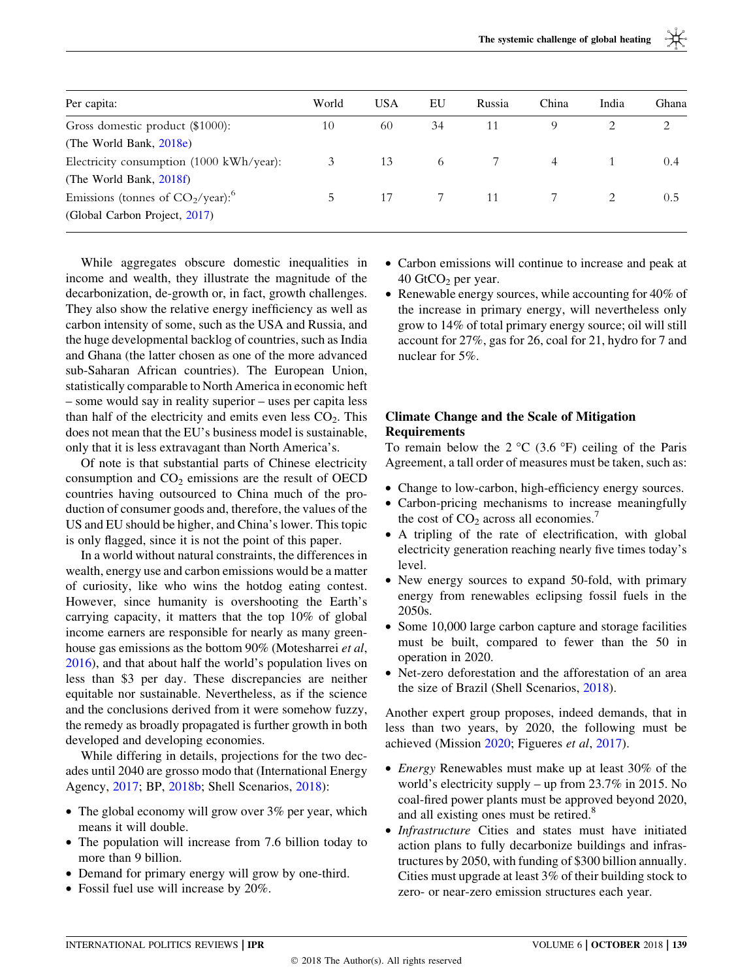| Per capita:                                      | World         | <b>USA</b> | EU  | Russia | China | India | Ghana |
|--------------------------------------------------|---------------|------------|-----|--------|-------|-------|-------|
| Gross domestic product (\$1000):                 | 10            | 60         | 34  | 11     | 9     | 2     | 2     |
| (The World Bank, 2018e)                          |               |            |     |        |       |       |       |
| Electricity consumption (1000 kWh/year):         | 3             | 13         | -6  |        | 4     |       | 0.4   |
| (The World Bank, 2018f)                          |               |            |     |        |       |       |       |
| Emissions (tonnes of $CO_2$ /year): <sup>6</sup> | $\mathcal{L}$ | 17         | 7 — | -11    |       |       | 0.5   |
| (Global Carbon Project, 2017)                    |               |            |     |        |       |       |       |

While aggregates obscure domestic inequalities in income and wealth, they illustrate the magnitude of the decarbonization, de-growth or, in fact, growth challenges. They also show the relative energy inefficiency as well as carbon intensity of some, such as the USA and Russia, and the huge developmental backlog of countries, such as India and Ghana (the latter chosen as one of the more advanced sub-Saharan African countries). The European Union, statistically comparable to North America in economic heft – some would say in reality superior – uses per capita less than half of the electricity and emits even less  $CO<sub>2</sub>$ . This does not mean that the EU's business model is sustainable, only that it is less extravagant than North America's.

Of note is that substantial parts of Chinese electricity consumption and  $CO<sub>2</sub>$  emissions are the result of OECD countries having outsourced to China much of the production of consumer goods and, therefore, the values of the US and EU should be higher, and China's lower. This topic is only flagged, since it is not the point of this paper.

In a world without natural constraints, the differences in wealth, energy use and carbon emissions would be a matter of curiosity, like who wins the hotdog eating contest. However, since humanity is overshooting the Earth's carrying capacity, it matters that the top 10% of global income earners are responsible for nearly as many greenhouse gas emissions as the bottom 90% (Motesharrei et al, [2016](#page-8-0)), and that about half the world's population lives on less than \$3 per day. These discrepancies are neither equitable nor sustainable. Nevertheless, as if the science and the conclusions derived from it were somehow fuzzy, the remedy as broadly propagated is further growth in both developed and developing economies.

While differing in details, projections for the two decades until 2040 are grosso modo that (International Energy Agency, [2017;](#page-8-0) BP, [2018b](#page-8-0); Shell Scenarios, [2018](#page-9-0)):

- The global economy will grow over 3% per year, which means it will double.
- The population will increase from 7.6 billion today to more than 9 billion.
- Demand for primary energy will grow by one-third.
- Fossil fuel use will increase by 20%.
- Carbon emissions will continue to increase and peak at 40 GtCO<sub>2</sub> per year.
- Renewable energy sources, while accounting for 40% of the increase in primary energy, will nevertheless only grow to 14% of total primary energy source; oil will still account for 27%, gas for 26, coal for 21, hydro for 7 and nuclear for 5%.

## Climate Change and the Scale of Mitigation **Requirements**

To remain below the  $2 \text{ }^{\circ}\text{C}$  (3.6  $\text{ }^{\circ}\text{F}$ ) ceiling of the Paris Agreement, a tall order of measures must be taken, such as:

- Change to low-carbon, high-efficiency energy sources.
- Carbon-pricing mechanisms to increase meaningfully the cost of  $CO<sub>2</sub>$  across all economies.<sup>7</sup>
- A tripling of the rate of electrification, with global electricity generation reaching nearly five times today's level.
- New energy sources to expand 50-fold, with primary energy from renewables eclipsing fossil fuels in the 2050s.
- Some 10,000 large carbon capture and storage facilities must be built, compared to fewer than the 50 in operation in 2020.
- Net-zero deforestation and the afforestation of an area the size of Brazil (Shell Scenarios, [2018\)](#page-9-0).

Another expert group proposes, indeed demands, that in less than two years, by 2020, the following must be achieved (Mission [2020](#page-8-0); Figueres et al, [2017\)](#page-8-0).

- *Energy* Renewables must make up at least 30% of the world's electricity supply – up from 23.7% in 2015. No coal-fired power plants must be approved beyond 2020, and all existing ones must be retired.<sup>8</sup>
- Infrastructure Cities and states must have initiated action plans to fully decarbonize buildings and infrastructures by 2050, with funding of \$300 billion annually. Cities must upgrade at least 3% of their building stock to zero- or near-zero emission structures each year.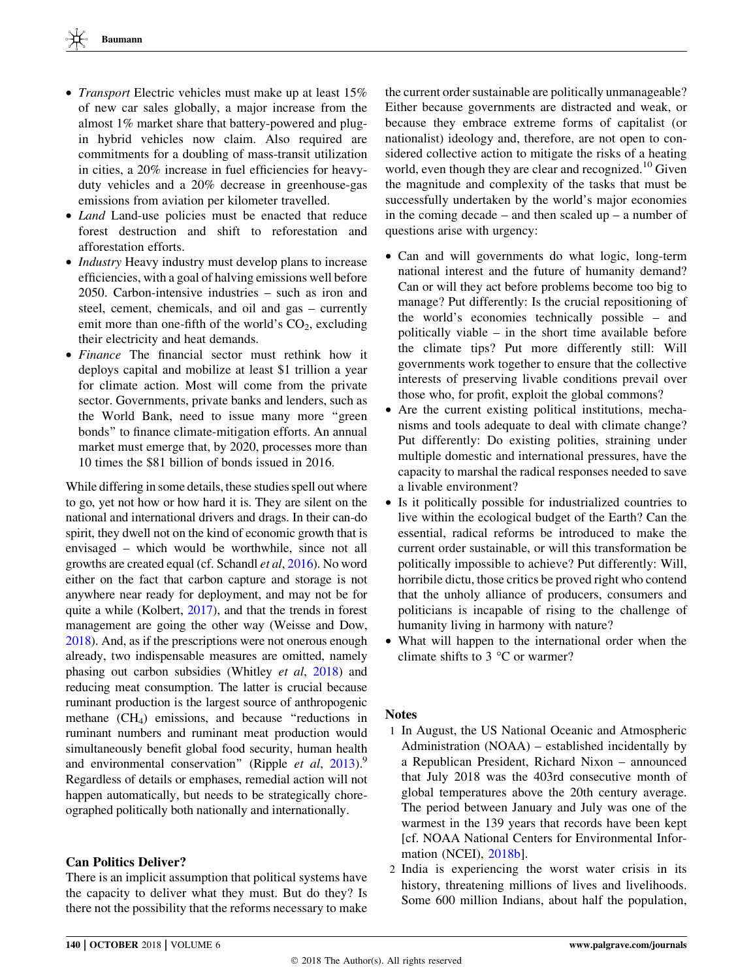- *Transport* Electric vehicles must make up at least 15% of new car sales globally, a major increase from the almost 1% market share that battery-powered and plugin hybrid vehicles now claim. Also required are commitments for a doubling of mass-transit utilization in cities, a 20% increase in fuel efficiencies for heavyduty vehicles and a 20% decrease in greenhouse-gas emissions from aviation per kilometer travelled.
- Land Land-use policies must be enacted that reduce forest destruction and shift to reforestation and afforestation efforts.
- *Industry* Heavy industry must develop plans to increase efficiencies, with a goal of halving emissions well before 2050. Carbon-intensive industries – such as iron and steel, cement, chemicals, and oil and gas – currently emit more than one-fifth of the world's  $CO<sub>2</sub>$ , excluding their electricity and heat demands.
- Finance The financial sector must rethink how it deploys capital and mobilize at least \$1 trillion a year for climate action. Most will come from the private sector. Governments, private banks and lenders, such as the World Bank, need to issue many more ''green bonds'' to finance climate-mitigation efforts. An annual market must emerge that, by 2020, processes more than 10 times the \$81 billion of bonds issued in 2016.

While differing in some details, these studies spell out where to go, yet not how or how hard it is. They are silent on the national and international drivers and drags. In their can-do spirit, they dwell not on the kind of economic growth that is envisaged – which would be worthwhile, since not all growths are created equal (cf. Schandl et al, [2016\)](#page-9-0). No word either on the fact that carbon capture and storage is not anywhere near ready for deployment, and may not be for quite a while (Kolbert, [2017](#page-8-0)), and that the trends in forest management are going the other way (Weisse and Dow, [2018\)](#page-9-0). And, as if the prescriptions were not onerous enough already, two indispensable measures are omitted, namely phasing out carbon subsidies (Whitley et al, [2018\)](#page-9-0) and reducing meat consumption. The latter is crucial because ruminant production is the largest source of anthropogenic methane  $(CH<sub>4</sub>)$  emissions, and because "reductions in ruminant numbers and ruminant meat production would simultaneously benefit global food security, human health and environmental conservation" (Ripple et al,  $2013$ ).<sup>9</sup> Regardless of details or emphases, remedial action will not happen automatically, but needs to be strategically choreographed politically both nationally and internationally.

#### Can Politics Deliver?

There is an implicit assumption that political systems have the capacity to deliver what they must. But do they? Is there not the possibility that the reforms necessary to make the current order sustainable are politically unmanageable? Either because governments are distracted and weak, or because they embrace extreme forms of capitalist (or nationalist) ideology and, therefore, are not open to considered collective action to mitigate the risks of a heating world, even though they are clear and recognized.<sup>10</sup> Given the magnitude and complexity of the tasks that must be successfully undertaken by the world's major economies in the coming decade – and then scaled  $up - a$  number of questions arise with urgency:

- Can and will governments do what logic, long-term national interest and the future of humanity demand? Can or will they act before problems become too big to manage? Put differently: Is the crucial repositioning of the world's economies technically possible – and politically viable – in the short time available before the climate tips? Put more differently still: Will governments work together to ensure that the collective interests of preserving livable conditions prevail over those who, for profit, exploit the global commons?
- Are the current existing political institutions, mechanisms and tools adequate to deal with climate change? Put differently: Do existing polities, straining under multiple domestic and international pressures, have the capacity to marshal the radical responses needed to save a livable environment?
- Is it politically possible for industrialized countries to live within the ecological budget of the Earth? Can the essential, radical reforms be introduced to make the current order sustainable, or will this transformation be politically impossible to achieve? Put differently: Will, horribile dictu, those critics be proved right who contend that the unholy alliance of producers, consumers and politicians is incapable of rising to the challenge of humanity living in harmony with nature?
- What will happen to the international order when the climate shifts to 3  $\degree$ C or warmer?

#### **Notes**

- 1 In August, the US National Oceanic and Atmospheric Administration (NOAA) – established incidentally by a Republican President, Richard Nixon – announced that July 2018 was the 403rd consecutive month of global temperatures above the 20th century average. The period between January and July was one of the warmest in the 139 years that records have been kept [cf. NOAA National Centers for Environmental Information (NCEI), [2018b\]](#page-9-0).
- 2 India is experiencing the worst water crisis in its history, threatening millions of lives and livelihoods. Some 600 million Indians, about half the population,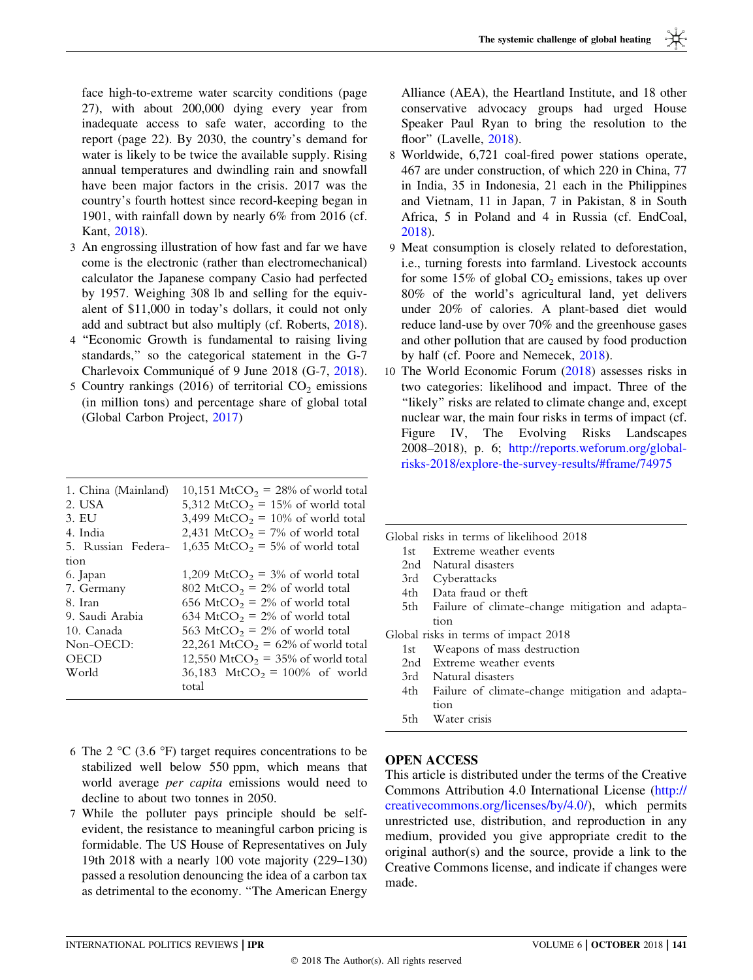face high-to-extreme water scarcity conditions (page 27), with about 200,000 dying every year from inadequate access to safe water, according to the report (page 22). By 2030, the country's demand for water is likely to be twice the available supply. Rising annual temperatures and dwindling rain and snowfall have been major factors in the crisis. 2017 was the country's fourth hottest since record-keeping began in 1901, with rainfall down by nearly 6% from 2016 (cf. Kant, [2018](#page-8-0)).

- 3 An engrossing illustration of how fast and far we have come is the electronic (rather than electromechanical) calculator the Japanese company Casio had perfected by 1957. Weighing 308 lb and selling for the equivalent of \$11,000 in today's dollars, it could not only add and subtract but also multiply (cf. Roberts, [2018](#page-9-0)).
- 4 ''Economic Growth is fundamental to raising living standards,'' so the categorical statement in the G-7 Charlevoix Communiqué of 9 June [2018](#page-8-0) (G-7, 2018).
- 5 Country rankings (2016) of territorial  $CO<sub>2</sub>$  emissions (in million tons) and percentage share of global total (Global Carbon Project, [2017\)](#page-8-0)

| 1. China (Mainland)<br>2. USA<br>3. EU<br>4. India<br>5. Russian Federa- | 10,151 MtCO <sub>2</sub> = $28\%$ of world total<br>$5,312$ MtCO <sub>2</sub> = 15% of world total<br>3,499 MtCO <sub>2</sub> = $10\%$ of world total<br>2,431 MtCO <sub>2</sub> = 7% of world total<br>1,635 MtCO <sub>2</sub> = 5% of world total |
|--------------------------------------------------------------------------|-----------------------------------------------------------------------------------------------------------------------------------------------------------------------------------------------------------------------------------------------------|
| tion                                                                     |                                                                                                                                                                                                                                                     |
| 6. Japan                                                                 | 1,209 MtCO <sub>2</sub> = $3\%$ of world total                                                                                                                                                                                                      |
| 7. Germany                                                               | $802 \text{ MtCO}_2 = 2\% \text{ of world total}$                                                                                                                                                                                                   |
| 8. Iran                                                                  | 656 MtCO <sub>2</sub> = 2% of world total                                                                                                                                                                                                           |
| 9. Saudi Arabia                                                          | 634 MtCO <sub>2</sub> = 2% of world total                                                                                                                                                                                                           |
| 10. Canada                                                               | 563 MtCO <sub>2</sub> = $2\%$ of world total                                                                                                                                                                                                        |
| Non-OECD:                                                                | 22,261 MtCO <sub>2</sub> = $62\%$ of world total                                                                                                                                                                                                    |
| OECD                                                                     | 12,550 MtCO <sub>2</sub> = $35\%$ of world total                                                                                                                                                                                                    |
| World                                                                    | 36,183 MtCO <sub>2</sub> = $100\%$ of world<br>total                                                                                                                                                                                                |

- 6 The 2  $\degree$ C (3.6  $\degree$ F) target requires concentrations to be stabilized well below 550 ppm, which means that world average per capita emissions would need to decline to about two tonnes in 2050.
- 7 While the polluter pays principle should be selfevident, the resistance to meaningful carbon pricing is formidable. The US House of Representatives on July 19th 2018 with a nearly 100 vote majority (229–130) passed a resolution denouncing the idea of a carbon tax as detrimental to the economy. ''The American Energy

Alliance (AEA), the Heartland Institute, and 18 other conservative advocacy groups had urged House Speaker Paul Ryan to bring the resolution to the floor" (Lavelle, [2018\)](#page-8-0).

- 8 Worldwide, 6,721 coal-fired power stations operate, 467 are under construction, of which 220 in China, 77 in India, 35 in Indonesia, 21 each in the Philippines and Vietnam, 11 in Japan, 7 in Pakistan, 8 in South Africa, 5 in Poland and 4 in Russia (cf. EndCoal, [2018](#page-8-0)).
- 9 Meat consumption is closely related to deforestation, i.e., turning forests into farmland. Livestock accounts for some  $15\%$  of global  $CO<sub>2</sub>$  emissions, takes up over 80% of the world's agricultural land, yet delivers under 20% of calories. A plant-based diet would reduce land-use by over 70% and the greenhouse gases and other pollution that are caused by food production by half (cf. Poore and Nemecek, [2018\)](#page-9-0).
- 10 The World Economic Forum ([2018\)](#page-9-0) assesses risks in two categories: likelihood and impact. Three of the "likely" risks are related to climate change and, except nuclear war, the main four risks in terms of impact (cf. Figure IV, The Evolving Risks Landscapes 2008–2018), p. 6; [http://reports.weforum.org/global](http://reports.weforum.org/global-risks-2018/explore-the-survey-results/#frame/74975)[risks-2018/explore-the-survey-results/#frame/74975](http://reports.weforum.org/global-risks-2018/explore-the-survey-results/#frame/74975)

Global risks in terms of likelihood 2018 1st Extreme weather events 2nd Natural disasters<br>3rd Cyberattacks Cyberattacks 4th Data fraud or theft 5th Failure of climate-change mitigation and adaptation Global risks in terms of impact 2018 1st Weapons of mass destruction 2nd Extreme weather events<br>3rd Natural disasters 3rd Natural disasters<br>4th Failure of clima

- Failure of climate-change mitigation and adaptation
- 5th Water crisis

## OPEN ACCESS

This article is distributed under the terms of the Creative Commons Attribution 4.0 International License [\(http://](http://creativecommons.org/licenses/by/4.0/) [creativecommons.org/licenses/by/4.0/](http://creativecommons.org/licenses/by/4.0/)), which permits unrestricted use, distribution, and reproduction in any medium, provided you give appropriate credit to the original author(s) and the source, provide a link to the Creative Commons license, and indicate if changes were made.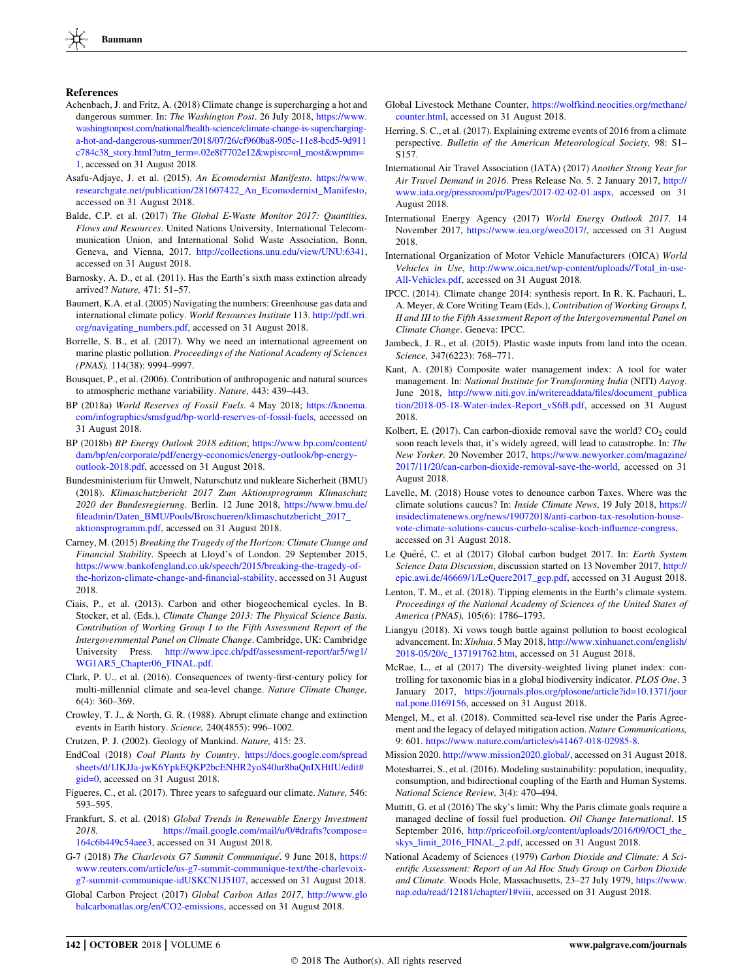#### <span id="page-8-0"></span>References

- Achenbach, J. and Fritz, A. (2018) Climate change is supercharging a hot and dangerous summer. In: The Washington Post. 26 July 2018, [https://www.](https://www.washingtonpost.com/national/health-science/climate-change-is-supercharging-a-hot-and-dangerous-summer/2018/07/26/cf960ba8-905c-11e8-bcd5-9d911c784c38_story.html%3futm_term%3d.02e8f7702e12%26wpisrc%3dnl_most%26wpmm%3d1) [washingtonpost.com/national/health-science/climate-change-is-supercharging](https://www.washingtonpost.com/national/health-science/climate-change-is-supercharging-a-hot-and-dangerous-summer/2018/07/26/cf960ba8-905c-11e8-bcd5-9d911c784c38_story.html%3futm_term%3d.02e8f7702e12%26wpisrc%3dnl_most%26wpmm%3d1)[a-hot-and-dangerous-summer/2018/07/26/cf960ba8-905c-11e8-bcd5-9d911](https://www.washingtonpost.com/national/health-science/climate-change-is-supercharging-a-hot-and-dangerous-summer/2018/07/26/cf960ba8-905c-11e8-bcd5-9d911c784c38_story.html%3futm_term%3d.02e8f7702e12%26wpisrc%3dnl_most%26wpmm%3d1) [c784c38\\_story.html?utm\\_term=.02e8f7702e12&wpisrc=nl\\_most&wpmm=](https://www.washingtonpost.com/national/health-science/climate-change-is-supercharging-a-hot-and-dangerous-summer/2018/07/26/cf960ba8-905c-11e8-bcd5-9d911c784c38_story.html%3futm_term%3d.02e8f7702e12%26wpisrc%3dnl_most%26wpmm%3d1) [1,](https://www.washingtonpost.com/national/health-science/climate-change-is-supercharging-a-hot-and-dangerous-summer/2018/07/26/cf960ba8-905c-11e8-bcd5-9d911c784c38_story.html%3futm_term%3d.02e8f7702e12%26wpisrc%3dnl_most%26wpmm%3d1) accessed on 31 August 2018.
- Asafu-Adjaye, J. et al. (2015). An Ecomodernist Manifesto. [https://www.](https://www.researchgate.net/publication/281607422_An_Ecomodernist_Manifesto) [researchgate.net/publication/281607422\\_An\\_Ecomodernist\\_Manifesto](https://www.researchgate.net/publication/281607422_An_Ecomodernist_Manifesto), accessed on 31 August 2018.
- Balde, C.P. et al. (2017) The Global E-Waste Monitor 2017: Quantities, Flows and Resources. United Nations University, International Telecommunication Union, and International Solid Waste Association, Bonn, Geneva, and Vienna, 2017. [http://collections.unu.edu/view/UNU:6341,](http://collections.unu.edu/view/UNU:6341) accessed on 31 August 2018.
- Barnosky, A. D., et al. (2011). Has the Earth's sixth mass extinction already arrived? Nature, 471: 51–57.
- Baumert, K.A. et al. (2005) Navigating the numbers: Greenhouse gas data and international climate policy. World Resources Institute 113. [http://pdf.wri.](http://pdf.wri.org/navigating_numbers.pdf) [org/navigating\\_numbers.pdf,](http://pdf.wri.org/navigating_numbers.pdf) accessed on 31 August 2018.
- Borrelle, S. B., et al. (2017). Why we need an international agreement on marine plastic pollution. Proceedings of the National Academy of Sciences (PNAS), 114(38): 9994–9997.
- Bousquet, P., et al. (2006). Contribution of anthropogenic and natural sources to atmospheric methane variability. Nature, 443: 439–443.
- BP (2018a) World Reserves of Fossil Fuels. 4 May 2018; [https://knoema.](https://knoema.com/infographics/smsfgud/bp-world-reserves-of-fossil-fuels) [com/infographics/smsfgud/bp-world-reserves-of-fossil-fuels](https://knoema.com/infographics/smsfgud/bp-world-reserves-of-fossil-fuels), accessed on 31 August 2018.
- BP (2018b) BP Energy Outlook 2018 edition; [https://www.bp.com/content/](https://www.bp.com/content/dam/bp/en/corporate/pdf/energy-economics/energy-outlook/bp-energy-outlook-2018.pdf) [dam/bp/en/corporate/pdf/energy-economics/energy-outlook/bp-energy](https://www.bp.com/content/dam/bp/en/corporate/pdf/energy-economics/energy-outlook/bp-energy-outlook-2018.pdf)[outlook-2018.pdf,](https://www.bp.com/content/dam/bp/en/corporate/pdf/energy-economics/energy-outlook/bp-energy-outlook-2018.pdf) accessed on 31 August 2018.
- Bundesministerium für Umwelt, Naturschutz und nukleare Sicherheit (BMU) (2018). Klimaschutzbericht 2017 Zum Aktionsprogramm Klimaschutz 2020 der Bundesregierung. Berlin. 12 June 2018, [https://www.bmu.de/](https://www.bmu.de/fileadmin/Daten_BMU/Pools/Broschueren/klimaschutzbericht_2017_aktionsprogramm.pdf) [fileadmin/Daten\\_BMU/Pools/Broschueren/klimaschutzbericht\\_2017\\_](https://www.bmu.de/fileadmin/Daten_BMU/Pools/Broschueren/klimaschutzbericht_2017_aktionsprogramm.pdf) [aktionsprogramm.pdf,](https://www.bmu.de/fileadmin/Daten_BMU/Pools/Broschueren/klimaschutzbericht_2017_aktionsprogramm.pdf) accessed on 31 August 2018.
- Carney, M. (2015) Breaking the Tragedy of the Horizon: Climate Change and Financial Stability. Speech at Lloyd's of London. 29 September 2015, [https://www.bankofengland.co.uk/speech/2015/breaking-the-tragedy-of](https://www.bankofengland.co.uk/speech/2015/breaking-the-tragedy-of-the-horizon-climate-change-and-financial-stability)[the-horizon-climate-change-and-financial-stability,](https://www.bankofengland.co.uk/speech/2015/breaking-the-tragedy-of-the-horizon-climate-change-and-financial-stability) accessed on 31 August 2018.
- Ciais, P., et al. (2013). Carbon and other biogeochemical cycles. In B. Stocker, et al. (Eds.), Climate Change 2013: The Physical Science Basis. Contribution of Working Group I to the Fifth Assessment Report of the Intergovernmental Panel on Climate Change. Cambridge, UK: Cambridge University Press. [http://www.ipcc.ch/pdf/assessment-report/ar5/wg1/](http://www.ipcc.ch/pdf/assessment-report/ar5/wg1/WG1AR5_Chapter06_FINAL.pdf) [WG1AR5\\_Chapter06\\_FINAL.pdf](http://www.ipcc.ch/pdf/assessment-report/ar5/wg1/WG1AR5_Chapter06_FINAL.pdf).
- Clark, P. U., et al. (2016). Consequences of twenty-first-century policy for multi-millennial climate and sea-level change. Nature Climate Change, 6(4): 360–369.
- Crowley, T. J., & North, G. R. (1988). Abrupt climate change and extinction events in Earth history. Science, 240(4855): 996–1002.
- Crutzen, P. J. (2002). Geology of Mankind. Nature, 415: 23.
- EndCoal (2018) Coal Plants by Country. [https://docs.google.com/spread](https://docs.google.com/spreadsheets/d/1JKJJa-jwK6YpkEQKP2bcENHR2yoS40ur8baQnIXHtIU/edit#gid%3d0) [sheets/d/1JKJJa-jwK6YpkEQKP2bcENHR2yoS40ur8baQnIXHtIU/edit#](https://docs.google.com/spreadsheets/d/1JKJJa-jwK6YpkEQKP2bcENHR2yoS40ur8baQnIXHtIU/edit#gid%3d0) [gid=0,](https://docs.google.com/spreadsheets/d/1JKJJa-jwK6YpkEQKP2bcENHR2yoS40ur8baQnIXHtIU/edit#gid%3d0) accessed on 31 August 2018.
- Figueres, C., et al. (2017). Three years to safeguard our climate. Nature, 546: 593–595.
- Frankfurt, S. et al. (2018) Global Trends in Renewable Energy Investment 2018. [https://mail.google.com/mail/u/0/#drafts?compose=](https://mail.google.com/mail/u/0/#drafts%3fcompose%3d164c6b449c54aee3) [164c6b449c54aee3](https://mail.google.com/mail/u/0/#drafts%3fcompose%3d164c6b449c54aee3), accessed on 31 August 2018.
- G-7 (2018) The Charlevoix G7 Summit Communiqué. 9 June 2018, [https://](https://www.reuters.com/article/us-g7-summit-communique-text/the-charlevoix-g7-summit-communique-idUSKCN1J5107) [www.reuters.com/article/us-g7-summit-communique-text/the-charlevoix](https://www.reuters.com/article/us-g7-summit-communique-text/the-charlevoix-g7-summit-communique-idUSKCN1J5107)[g7-summit-communique-idUSKCN1J5107,](https://www.reuters.com/article/us-g7-summit-communique-text/the-charlevoix-g7-summit-communique-idUSKCN1J5107) accessed on 31 August 2018.
- Global Carbon Project (2017) Global Carbon Atlas 2017, [http://www.glo](http://www.globalcarbonatlas.org/en/CO2-emissions) [balcarbonatlas.org/en/CO2-emissions](http://www.globalcarbonatlas.org/en/CO2-emissions), accessed on 31 August 2018.
- Global Livestock Methane Counter, [https://wolfkind.neocities.org/methane/](https://wolfkind.neocities.org/methane/counter.html) [counter.html](https://wolfkind.neocities.org/methane/counter.html), accessed on 31 August 2018.
- Herring, S. C., et al. (2017). Explaining extreme events of 2016 from a climate perspective. Bulletin of the American Meteorological Society, 98: S1– S157.
- International Air Travel Association (IATA) (2017) Another Strong Year for Air Travel Demand in 2016. Press Release No. 5. 2 January 2017, [http://](http://www.iata.org/pressroom/pr/Pages/2017-02-02-01.aspx) [www.iata.org/pressroom/pr/Pages/2017-02-02-01.aspx](http://www.iata.org/pressroom/pr/Pages/2017-02-02-01.aspx), accessed on 31 August 2018.
- International Energy Agency (2017) World Energy Outlook 2017. 14 November 2017, [https://www.iea.org/weo2017/,](https://www.iea.org/weo2017/) accessed on 31 August 2018.
- International Organization of Motor Vehicle Manufacturers (OICA) World Vehicles in Use, [http://www.oica.net/wp-content/uploads//Total\\_in-use-](http://www.oica.net/wp-content/uploads//Total_in-use-All-Vehicles.pdf)[All-Vehicles.pdf](http://www.oica.net/wp-content/uploads//Total_in-use-All-Vehicles.pdf), accessed on 31 August 2018.
- IPCC. (2014). Climate change 2014: synthesis report. In R. K. Pachauri, L. A. Meyer, & Core Writing Team (Eds.), Contribution of Working Groups I, II and III to the Fifth Assessment Report of the Intergovernmental Panel on Climate Change. Geneva: IPCC.
- Jambeck, J. R., et al. (2015). Plastic waste inputs from land into the ocean. Science, 347(6223): 768–771.
- Kant, A. (2018) Composite water management index: A tool for water management. In: National Institute for Transforming India (NITI) Aayog. June 2018, [http://www.niti.gov.in/writereaddata/files/document\\_publica](http://www.niti.gov.in/writereaddata/files/document_publication/2018-05-18-Water-index-Report_vS6B.pdf) [tion/2018-05-18-Water-index-Report\\_vS6B.pdf,](http://www.niti.gov.in/writereaddata/files/document_publication/2018-05-18-Water-index-Report_vS6B.pdf) accessed on 31 August 2018.
- Kolbert, E. (2017). Can carbon-dioxide removal save the world?  $CO<sub>2</sub>$  could soon reach levels that, it's widely agreed, will lead to catastrophe. In: The New Yorker. 20 November 2017, [https://www.newyorker.com/magazine/](https://www.newyorker.com/magazine/2017/11/20/can-carbon-dioxide-removal-save-the-world) [2017/11/20/can-carbon-dioxide-removal-save-the-world,](https://www.newyorker.com/magazine/2017/11/20/can-carbon-dioxide-removal-save-the-world) accessed on 31 August 2018.
- Lavelle, M. (2018) House votes to denounce carbon Taxes. Where was the climate solutions caucus? In: Inside Climate News, 19 July 2018, [https://](https://insideclimatenews.org/news/19072018/anti-carbon-tax-resolution-house-vote-climate-solutions-caucus-curbelo-scalise-koch-influence-congress) [insideclimatenews.org/news/19072018/anti-carbon-tax-resolution-house](https://insideclimatenews.org/news/19072018/anti-carbon-tax-resolution-house-vote-climate-solutions-caucus-curbelo-scalise-koch-influence-congress)[vote-climate-solutions-caucus-curbelo-scalise-koch-influence-congress,](https://insideclimatenews.org/news/19072018/anti-carbon-tax-resolution-house-vote-climate-solutions-caucus-curbelo-scalise-koch-influence-congress) accessed on 31 August 2018.
- Le Quéré, C. et al (2017) Global carbon budget 2017. In: Earth System Science Data Discussion, discussion started on 13 November 2017, [http://](http://epic.awi.de/46669/1/LeQuere2017_gcp.pdf) [epic.awi.de/46669/1/LeQuere2017\\_gcp.pdf,](http://epic.awi.de/46669/1/LeQuere2017_gcp.pdf) accessed on 31 August 2018.
- Lenton, T. M., et al. (2018). Tipping elements in the Earth's climate system. Proceedings of the National Academy of Sciences of the United States of America (PNAS), 105(6): 1786–1793.
- Liangyu (2018). Xi vows tough battle against pollution to boost ecological advancement. In: Xinhua. 5 May 2018, [http://www.xinhuanet.com/english/](http://www.xinhuanet.com/english/2018-05/20/c_137191762.htm) [2018-05/20/c\\_137191762.htm,](http://www.xinhuanet.com/english/2018-05/20/c_137191762.htm) accessed on 31 August 2018.
- McRae, L., et al (2017) The diversity-weighted living planet index: controlling for taxonomic bias in a global biodiversity indicator. PLOS One. 3 January 2017, [https://journals.plos.org/plosone/article?id=10.1371/jour](https://journals.plos.org/plosone/article?id=10.1371/journal.pone.0169156) [nal.pone.0169156,](https://journals.plos.org/plosone/article?id=10.1371/journal.pone.0169156) accessed on 31 August 2018.
- Mengel, M., et al. (2018). Committed sea-level rise under the Paris Agreement and the legacy of delayed mitigation action. Nature Communications, 9: 601. [https://www.nature.com/articles/s41467-018-02985-8.](https://www.nature.com/articles/s41467-018-02985-8)

Mission 2020. [http://www.mission2020.global/,](http://www.mission2020.global/) accessed on 31 August 2018.

- Motesharrei, S., et al. (2016). Modeling sustainability: population, inequality, consumption, and bidirectional coupling of the Earth and Human Systems. National Science Review, 3(4): 470–494.
- Muttitt, G. et al (2016) The sky's limit: Why the Paris climate goals require a managed decline of fossil fuel production. Oil Change International. 15 September 2016, [http://priceofoil.org/content/uploads/2016/09/OCI\\_the\\_](http://priceofoil.org/content/uploads/2016/09/OCI_the_skys_limit_2016_FINAL_2.pdf) [skys\\_limit\\_2016\\_FINAL\\_2.pdf](http://priceofoil.org/content/uploads/2016/09/OCI_the_skys_limit_2016_FINAL_2.pdf), accessed on 31 August 2018.
- National Academy of Sciences (1979) Carbon Dioxide and Climate: A Scientific Assessment: Report of an Ad Hoc Study Group on Carbon Dioxide and Climate. Woods Hole, Massachusetts, 23–27 July 1979, [https://www.](https://www.nap.edu/read/12181/chapter/1#viii) [nap.edu/read/12181/chapter/1#viii](https://www.nap.edu/read/12181/chapter/1#viii), accessed on 31 August 2018.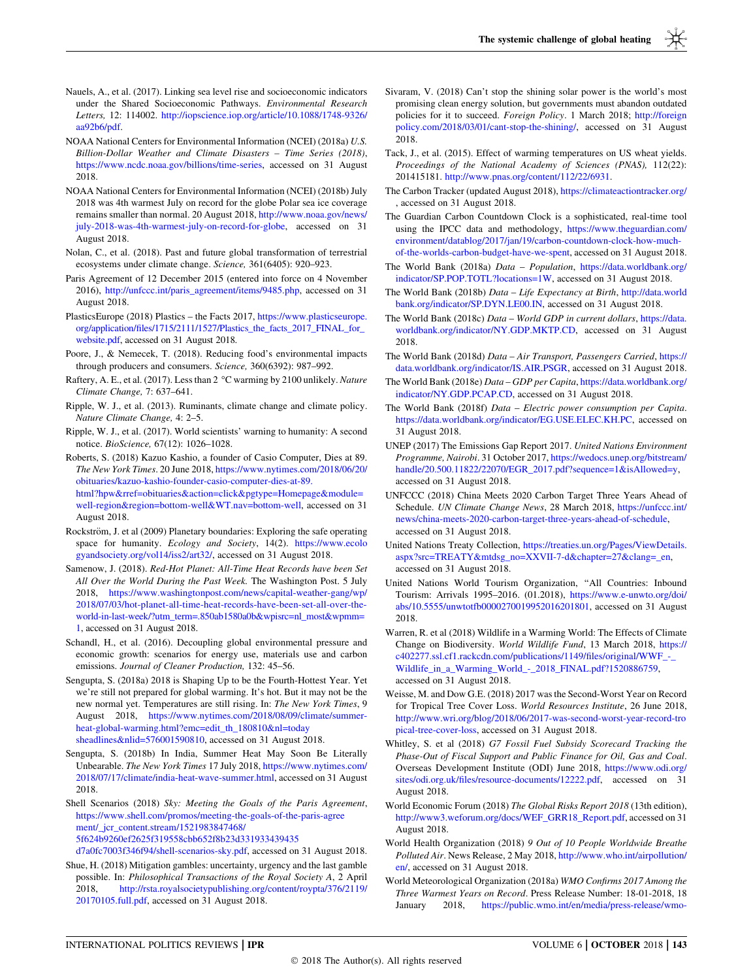- <span id="page-9-0"></span>Nauels, A., et al. (2017). Linking sea level rise and socioeconomic indicators under the Shared Socioeconomic Pathways. Environmental Research Letters, 12: 114002. [http://iopscience.iop.org/article/10.1088/1748-9326/](http://iopscience.iop.org/article/10.1088/1748-9326/aa92b6/pdf) [aa92b6/pdf.](http://iopscience.iop.org/article/10.1088/1748-9326/aa92b6/pdf)
- NOAA National Centers for Environmental Information (NCEI) (2018a) U.S. Billion-Dollar Weather and Climate Disasters – Time Series (2018), [https://www.ncdc.noaa.gov/billions/time-series,](https://www.ncdc.noaa.gov/billions/time-series) accessed on 31 August 2018.
- NOAA National Centers for Environmental Information (NCEI) (2018b) July 2018 was 4th warmest July on record for the globe Polar sea ice coverage remains smaller than normal. 20 August 2018, [http://www.noaa.gov/news/](http://www.noaa.gov/news/july-2018-was-4th-warmest-july-on-record-for-globe) [july-2018-was-4th-warmest-july-on-record-for-globe](http://www.noaa.gov/news/july-2018-was-4th-warmest-july-on-record-for-globe), accessed on 31 August 2018.
- Nolan, C., et al. (2018). Past and future global transformation of terrestrial ecosystems under climate change. Science, 361(6405): 920–923.
- Paris Agreement of 12 December 2015 (entered into force on 4 November 2016), [http://unfccc.int/paris\\_agreement/items/9485.php](http://unfccc.int/paris_agreement/items/9485.php), accessed on 31 August 2018.
- PlasticsEurope (2018) Plastics the Facts 2017, [https://www.plasticseurope.](https://www.plasticseurope.org/application/files/1715/2111/1527/Plastics_the_facts_2017_FINAL_for_website.pdf) [org/application/files/1715/2111/1527/Plastics\\_the\\_facts\\_2017\\_FINAL\\_for\\_](https://www.plasticseurope.org/application/files/1715/2111/1527/Plastics_the_facts_2017_FINAL_for_website.pdf) [website.pdf](https://www.plasticseurope.org/application/files/1715/2111/1527/Plastics_the_facts_2017_FINAL_for_website.pdf), accessed on 31 August 2018.
- Poore, J., & Nemecek, T. (2018). Reducing food's environmental impacts through producers and consumers. Science, 360(6392): 987–992.
- Raftery, A. E., et al. (2017). Less than 2 °C warming by 2100 unlikely. *Nature* Climate Change, 7: 637–641.
- Ripple, W. J., et al. (2013). Ruminants, climate change and climate policy. Nature Climate Change, 4: 2–5.
- Ripple, W. J., et al. (2017). World scientists' warning to humanity: A second notice. BioScience, 67(12): 1026–1028.
- Roberts, S. (2018) Kazuo Kashio, a founder of Casio Computer, Dies at 89. The New York Times. 20 June 2018, [https://www.nytimes.com/2018/06/20/](https://www.nytimes.com/2018/06/20/obituaries/kazuo-kashio-founder-casio-computer-dies-at-89.html%3fhpw%26rref%3dobituaries%26action%3dclick%26pgtype%3dHomepage%26module%3dwell-region%26region%3dbottom-well%26WT.nav%3dbottom-well) [obituaries/kazuo-kashio-founder-casio-computer-dies-at-89.](https://www.nytimes.com/2018/06/20/obituaries/kazuo-kashio-founder-casio-computer-dies-at-89.html%3fhpw%26rref%3dobituaries%26action%3dclick%26pgtype%3dHomepage%26module%3dwell-region%26region%3dbottom-well%26WT.nav%3dbottom-well) [html?hpw&rref=obituaries&action=click&pgtype=Homepage&module=](https://www.nytimes.com/2018/06/20/obituaries/kazuo-kashio-founder-casio-computer-dies-at-89.html%3fhpw%26rref%3dobituaries%26action%3dclick%26pgtype%3dHomepage%26module%3dwell-region%26region%3dbottom-well%26WT.nav%3dbottom-well) [well-region&region=bottom-well&WT.nav=bottom-well](https://www.nytimes.com/2018/06/20/obituaries/kazuo-kashio-founder-casio-computer-dies-at-89.html%3fhpw%26rref%3dobituaries%26action%3dclick%26pgtype%3dHomepage%26module%3dwell-region%26region%3dbottom-well%26WT.nav%3dbottom-well), accessed on 31 August 2018.
- Rockström, J. et al (2009) Planetary boundaries: Exploring the safe operating space for humanity. Ecology and Society, 14(2). [https://www.ecolo](https://www.ecologyandsociety.org/vol14/iss2/art32/) [gyandsociety.org/vol14/iss2/art32/](https://www.ecologyandsociety.org/vol14/iss2/art32/), accessed on 31 August 2018.
- Samenow, J. (2018). Red-Hot Planet: All-Time Heat Records have been Set All Over the World During the Past Week. The Washington Post, 5 July 2018, [https://www.washingtonpost.com/news/capital-weather-gang/wp/](https://www.washingtonpost.com/news/capital-weather-gang/wp/2018/07/03/hot-planet-all-time-heat-records-have-been-set-all-over-the-world-in-last-week/%3futm_term%3d.850ab1580a0b%26wpisrc%3dnl_most%26wpmm%3d1) [2018/07/03/hot-planet-all-time-heat-records-have-been-set-all-over-the](https://www.washingtonpost.com/news/capital-weather-gang/wp/2018/07/03/hot-planet-all-time-heat-records-have-been-set-all-over-the-world-in-last-week/%3futm_term%3d.850ab1580a0b%26wpisrc%3dnl_most%26wpmm%3d1)[world-in-last-week/?utm\\_term=.850ab1580a0b&wpisrc=nl\\_most&wpmm=](https://www.washingtonpost.com/news/capital-weather-gang/wp/2018/07/03/hot-planet-all-time-heat-records-have-been-set-all-over-the-world-in-last-week/%3futm_term%3d.850ab1580a0b%26wpisrc%3dnl_most%26wpmm%3d1) [1,](https://www.washingtonpost.com/news/capital-weather-gang/wp/2018/07/03/hot-planet-all-time-heat-records-have-been-set-all-over-the-world-in-last-week/%3futm_term%3d.850ab1580a0b%26wpisrc%3dnl_most%26wpmm%3d1) accessed on 31 August 2018.
- Schandl, H., et al. (2016). Decoupling global environmental pressure and economic growth: scenarios for energy use, materials use and carbon emissions. Journal of Cleaner Production, 132: 45–56.
- Sengupta, S. (2018a) 2018 is Shaping Up to be the Fourth-Hottest Year. Yet we're still not prepared for global warming. It's hot. But it may not be the new normal yet. Temperatures are still rising. In: The New York Times, 9 August 2018, [https://www.nytimes.com/2018/08/09/climate/summer](https://www.nytimes.com/2018/08/09/climate/summer-heat-global-warming.html%3femc%3dedit_th_180810%26nl%3dtodaysheadlines%26nlid%3d576001590810)[heat-global-warming.html?emc=edit\\_th\\_180810&nl=today](https://www.nytimes.com/2018/08/09/climate/summer-heat-global-warming.html%3femc%3dedit_th_180810%26nl%3dtodaysheadlines%26nlid%3d576001590810) [sheadlines&nlid=576001590810,](https://www.nytimes.com/2018/08/09/climate/summer-heat-global-warming.html%3femc%3dedit_th_180810%26nl%3dtodaysheadlines%26nlid%3d576001590810) accessed on 31 August 2018.
- Sengupta, S. (2018b) In India, Summer Heat May Soon Be Literally Unbearable. The New York Times 17 July 2018, [https://www.nytimes.com/](https://www.nytimes.com/2018/07/17/climate/india-heat-wave-summer.html) [2018/07/17/climate/india-heat-wave-summer.html](https://www.nytimes.com/2018/07/17/climate/india-heat-wave-summer.html), accessed on 31 August 2018.
- Shell Scenarios (2018) Sky: Meeting the Goals of the Paris Agreement, [https://www.shell.com/promos/meeting-the-goals-of-the-paris-agree](https://www.shell.com/promos/meeting-the-goals-of-the-paris-agreement/_jcr_content.stream/1521983847468/5f624b9260ef2625f319558cbb652f8b23d331933439435d7a0fc7003f346f94/shell-scenarios-sky.pdf) [ment/\\_jcr\\_content.stream/1521983847468/](https://www.shell.com/promos/meeting-the-goals-of-the-paris-agreement/_jcr_content.stream/1521983847468/5f624b9260ef2625f319558cbb652f8b23d331933439435d7a0fc7003f346f94/shell-scenarios-sky.pdf) [5f624b9260ef2625f319558cbb652f8b23d331933439435](https://www.shell.com/promos/meeting-the-goals-of-the-paris-agreement/_jcr_content.stream/1521983847468/5f624b9260ef2625f319558cbb652f8b23d331933439435d7a0fc7003f346f94/shell-scenarios-sky.pdf) [d7a0fc7003f346f94/shell-scenarios-sky.pdf,](https://www.shell.com/promos/meeting-the-goals-of-the-paris-agreement/_jcr_content.stream/1521983847468/5f624b9260ef2625f319558cbb652f8b23d331933439435d7a0fc7003f346f94/shell-scenarios-sky.pdf) accessed on 31 August 2018.
- Shue, H. (2018) Mitigation gambles: uncertainty, urgency and the last gamble possible. In: Philosophical Transactions of the Royal Society A, 2 April 2018, [http://rsta.royalsocietypublishing.org/content/roypta/376/2119/](http://rsta.royalsocietypublishing.org/content/roypta/376/2119/20170105.full.pdf) [20170105.full.pdf,](http://rsta.royalsocietypublishing.org/content/roypta/376/2119/20170105.full.pdf) accessed on 31 August 2018.
- Sivaram, V. (2018) Can't stop the shining solar power is the world's most promising clean energy solution, but governments must abandon outdated policies for it to succeed. Foreign Policy. 1 March 2018; [http://foreign](http://foreignpolicy.com/2018/03/01/cant-stop-the-shining/) [policy.com/2018/03/01/cant-stop-the-shining/](http://foreignpolicy.com/2018/03/01/cant-stop-the-shining/), accessed on 31 August 2018.
- Tack, J., et al. (2015). Effect of warming temperatures on US wheat yields. Proceedings of the National Academy of Sciences (PNAS), 112(22): 201415181. <http://www.pnas.org/content/112/22/6931>.
- The Carbon Tracker (updated August 2018), <https://climateactiontracker.org/> , accessed on 31 August 2018.
- The Guardian Carbon Countdown Clock is a sophisticated, real-time tool using the IPCC data and methodology, [https://www.theguardian.com/](https://www.theguardian.com/environment/datablog/2017/jan/19/carbon-countdown-clock-how-much-of-the-worlds-carbon-budget-have-we-spent) [environment/datablog/2017/jan/19/carbon-countdown-clock-how-much-](https://www.theguardian.com/environment/datablog/2017/jan/19/carbon-countdown-clock-how-much-of-the-worlds-carbon-budget-have-we-spent)
- [of-the-worlds-carbon-budget-have-we-spent,](https://www.theguardian.com/environment/datablog/2017/jan/19/carbon-countdown-clock-how-much-of-the-worlds-carbon-budget-have-we-spent) accessed on 31 August 2018. The World Bank (2018a) Data – Population, [https://data.worldbank.org/](https://data.worldbank.org/indicator/SP.POP.TOTL?locations=1W) [indicator/SP.POP.TOTL?locations=1W,](https://data.worldbank.org/indicator/SP.POP.TOTL?locations=1W) accessed on 31 August 2018.
- The World Bank (2018b) Data Life Expectancy at Birth, [http://data.world](http://data.worldbank.org/indicator/SP.DYN.LE00.IN) [bank.org/indicator/SP.DYN.LE00.IN](http://data.worldbank.org/indicator/SP.DYN.LE00.IN), accessed on 31 August 2018.
- The World Bank (2018c) Data World GDP in current dollars, [https://data.](https://data.worldbank.org/indicator/NY.GDP.MKTP.CD) [worldbank.org/indicator/NY.GDP.MKTP.CD,](https://data.worldbank.org/indicator/NY.GDP.MKTP.CD) accessed on 31 August 2018.
- The World Bank (2018d) Data Air Transport, Passengers Carried, [https://](https://data.worldbank.org/indicator/IS.AIR.PSGR) [data.worldbank.org/indicator/IS.AIR.PSGR,](https://data.worldbank.org/indicator/IS.AIR.PSGR) accessed on 31 August 2018.
- The World Bank (2018e) Data GDP per Capita, [https://data.worldbank.org/](https://data.worldbank.org/indicator/NY.GDP.PCAP.CD) [indicator/NY.GDP.PCAP.CD,](https://data.worldbank.org/indicator/NY.GDP.PCAP.CD) accessed on 31 August 2018.
- The World Bank (2018f) Data Electric power consumption per Capita. [https://data.worldbank.org/indicator/EG.USE.ELEC.KH.PC,](https://data.worldbank.org/indicator/EG.USE.ELEC.KH.PC) accessed on 31 August 2018.
- UNEP (2017) The Emissions Gap Report 2017. United Nations Environment Programme, Nairobi. 31 October 2017, [https://wedocs.unep.org/bitstream/](https://wedocs.unep.org/bitstream/handle/20.500.11822/22070/EGR_2017.pdf%3fsequence%3d1%26isAllowed%3dy) [handle/20.500.11822/22070/EGR\\_2017.pdf?sequence=1&isAllowed=y](https://wedocs.unep.org/bitstream/handle/20.500.11822/22070/EGR_2017.pdf%3fsequence%3d1%26isAllowed%3dy), accessed on 31 August 2018.
- UNFCCC (2018) China Meets 2020 Carbon Target Three Years Ahead of Schedule. UN Climate Change News, 28 March 2018, [https://unfccc.int/](https://unfccc.int/news/china-meets-2020-carbon-target-three-years-ahead-of-schedule) [news/china-meets-2020-carbon-target-three-years-ahead-of-schedule](https://unfccc.int/news/china-meets-2020-carbon-target-three-years-ahead-of-schedule), accessed on 31 August 2018.
- United Nations Treaty Collection, [https://treaties.un.org/Pages/ViewDetails.](https://treaties.un.org/Pages/ViewDetails.aspx%3fsrc%3dTREATY%26mtdsg_no%3dXXVII-7-d%26chapter%3d27%26clang%3d_en) [aspx?src=TREATY&mtdsg\\_no=XXVII-7-d&chapter=27&clang=\\_en](https://treaties.un.org/Pages/ViewDetails.aspx%3fsrc%3dTREATY%26mtdsg_no%3dXXVII-7-d%26chapter%3d27%26clang%3d_en), accessed on 31 August 2018.
- United Nations World Tourism Organization, ''All Countries: Inbound Tourism: Arrivals 1995–2016. (01.2018), [https://www.e-unwto.org/doi/](https://www.e-unwto.org/doi/abs/10.5555/unwtotfb0000270019952016201801) [abs/10.5555/unwtotfb0000270019952016201801,](https://www.e-unwto.org/doi/abs/10.5555/unwtotfb0000270019952016201801) accessed on 31 August 2018.
- Warren, R. et al (2018) Wildlife in a Warming World: The Effects of Climate Change on Biodiversity. World Wildlife Fund, 13 March 2018, [https://](https://c402277.ssl.cf1.rackcdn.com/publications/1149/files/original/WWF_-_Wildlife_in_a_Warming_World_-_2018_FINAL.pdf%3f1520886759) [c402277.ssl.cf1.rackcdn.com/publications/1149/files/original/WWF\\_-\\_](https://c402277.ssl.cf1.rackcdn.com/publications/1149/files/original/WWF_-_Wildlife_in_a_Warming_World_-_2018_FINAL.pdf%3f1520886759) [Wildlife\\_in\\_a\\_Warming\\_World\\_-\\_2018\\_FINAL.pdf?1520886759](https://c402277.ssl.cf1.rackcdn.com/publications/1149/files/original/WWF_-_Wildlife_in_a_Warming_World_-_2018_FINAL.pdf%3f1520886759), accessed on 31 August 2018.
- Weisse, M. and Dow G.E. (2018) 2017 was the Second-Worst Year on Record for Tropical Tree Cover Loss. World Resources Institute, 26 June 2018, [http://www.wri.org/blog/2018/06/2017-was-second-worst-year-record-tro](http://www.wri.org/blog/2018/06/2017-was-second-worst-year-record-tropical-tree-cover-loss) [pical-tree-cover-loss](http://www.wri.org/blog/2018/06/2017-was-second-worst-year-record-tropical-tree-cover-loss), accessed on 31 August 2018.
- Whitley, S. et al (2018) G7 Fossil Fuel Subsidy Scorecard Tracking the Phase-Out of Fiscal Support and Public Finance for Oil, Gas and Coal. Overseas Development Institute (ODI) June 2018, [https://www.odi.org/](https://www.odi.org/sites/odi.org.uk/files/resource-documents/12222.pdf) [sites/odi.org.uk/files/resource-documents/12222.pdf](https://www.odi.org/sites/odi.org.uk/files/resource-documents/12222.pdf), accessed on 31 August 2018.
- World Economic Forum (2018) The Global Risks Report 2018 (13th edition), [http://www3.weforum.org/docs/WEF\\_GRR18\\_Report.pdf,](http://www3.weforum.org/docs/WEF_GRR18_Report.pdf) accessed on 31 August 2018.
- World Health Organization (2018) 9 Out of 10 People Worldwide Breathe Polluted Air. News Release, 2 May 2018, [http://www.who.int/airpollution/](http://www.who.int/airpollution/en/) [en/](http://www.who.int/airpollution/en/), accessed on 31 August 2018.
- World Meteorological Organization (2018a) WMO Confirms 2017 Among the Three Warmest Years on Record. Press Release Number: 18-01-2018, 18 January 2018, [https://public.wmo.int/en/media/press-release/wmo-](https://public.wmo.int/en/media/press-release/wmo-confirms-2017-among-three-warmest-years-record)